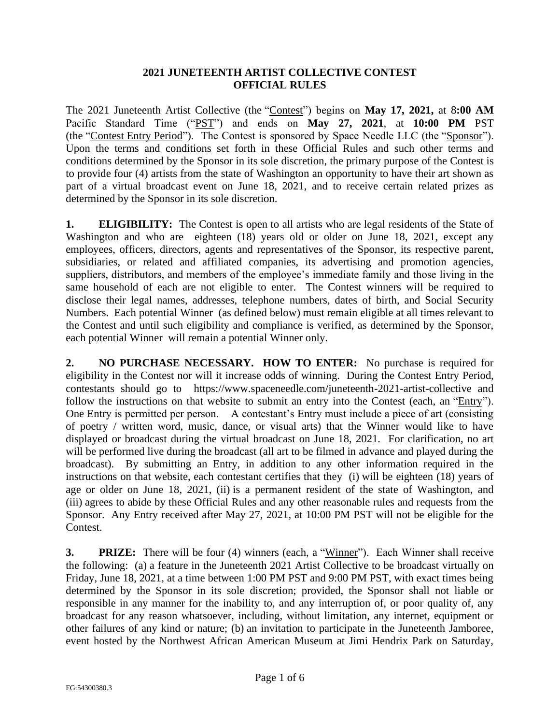## **2021 JUNETEENTH ARTIST COLLECTIVE CONTEST OFFICIAL RULES**

The 2021 Juneteenth Artist Collective (the "Contest") begins on **May 17, 2021,** at 8**:00 AM** Pacific Standard Time ("PST") and ends on **May 27, 2021**, at **10:00 PM** PST (the "Contest Entry Period"). The Contest is sponsored by Space Needle LLC (the "Sponsor"). Upon the terms and conditions set forth in these Official Rules and such other terms and conditions determined by the Sponsor in its sole discretion, the primary purpose of the Contest is to provide four (4) artists from the state of Washington an opportunity to have their art shown as part of a virtual broadcast event on June 18, 2021, and to receive certain related prizes as determined by the Sponsor in its sole discretion.

**1. ELIGIBILITY:** The Contest is open to all artists who are legal residents of the State of Washington and who are eighteen (18) years old or older on June 18, 2021, except any employees, officers, directors, agents and representatives of the Sponsor, its respective parent, subsidiaries, or related and affiliated companies, its advertising and promotion agencies, suppliers, distributors, and members of the employee's immediate family and those living in the same household of each are not eligible to enter. The Contest winners will be required to disclose their legal names, addresses, telephone numbers, dates of birth, and Social Security Numbers. Each potential Winner (as defined below) must remain eligible at all times relevant to the Contest and until such eligibility and compliance is verified, as determined by the Sponsor, each potential Winner will remain a potential Winner only.

**2. NO PURCHASE NECESSARY. HOW TO ENTER:** No purchase is required for eligibility in the Contest nor will it increase odds of winning. During the Contest Entry Period, contestants should go to https://www.spaceneedle.com/juneteenth-2021-artist-collective and follow the instructions on that website to submit an entry into the Contest (each, an "Entry"). One Entry is permitted per person. A contestant's Entry must include a piece of art (consisting of poetry / written word, music, dance, or visual arts) that the Winner would like to have displayed or broadcast during the virtual broadcast on June 18, 2021. For clarification, no art will be performed live during the broadcast (all art to be filmed in advance and played during the broadcast). By submitting an Entry, in addition to any other information required in the instructions on that website, each contestant certifies that they (i) will be eighteen (18) years of age or older on June 18, 2021, (ii) is a permanent resident of the state of Washington, and (iii) agrees to abide by these Official Rules and any other reasonable rules and requests from the Sponsor. Any Entry received after May 27, 2021, at 10:00 PM PST will not be eligible for the Contest.

**3. PRIZE:** There will be four (4) winners (each, a "Winner"). Each Winner shall receive the following: (a) a feature in the Juneteenth 2021 Artist Collective to be broadcast virtually on Friday, June 18, 2021, at a time between 1:00 PM PST and 9:00 PM PST, with exact times being determined by the Sponsor in its sole discretion; provided, the Sponsor shall not liable or responsible in any manner for the inability to, and any interruption of, or poor quality of, any broadcast for any reason whatsoever, including, without limitation, any internet, equipment or other failures of any kind or nature; (b) an invitation to participate in the Juneteenth Jamboree, event hosted by the Northwest African American Museum at Jimi Hendrix Park on Saturday,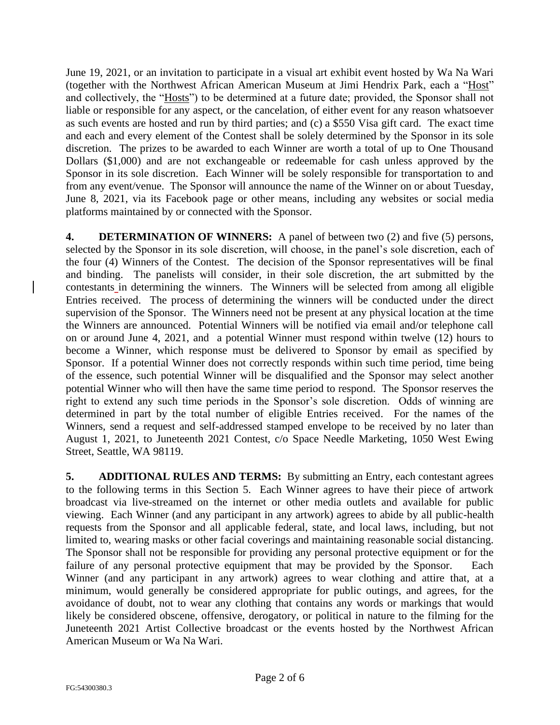June 19, 2021, or an invitation to participate in a visual art exhibit event hosted by Wa Na Wari (together with the Northwest African American Museum at Jimi Hendrix Park, each a "Host" and collectively, the "Hosts") to be determined at a future date; provided, the Sponsor shall not liable or responsible for any aspect, or the cancelation, of either event for any reason whatsoever as such events are hosted and run by third parties; and (c) a \$550 Visa gift card. The exact time and each and every element of the Contest shall be solely determined by the Sponsor in its sole discretion. The prizes to be awarded to each Winner are worth a total of up to One Thousand Dollars (\$1,000) and are not exchangeable or redeemable for cash unless approved by the Sponsor in its sole discretion. Each Winner will be solely responsible for transportation to and from any event/venue. The Sponsor will announce the name of the Winner on or about Tuesday, June 8, 2021, via its Facebook page or other means, including any websites or social media platforms maintained by or connected with the Sponsor.

**4. DETERMINATION OF WINNERS:** A panel of between two (2) and five (5) persons, selected by the Sponsor in its sole discretion, will choose, in the panel's sole discretion, each of the four (4) Winners of the Contest. The decision of the Sponsor representatives will be final and binding. The panelists will consider, in their sole discretion, the art submitted by the contestants in determining the winners. The Winners will be selected from among all eligible Entries received. The process of determining the winners will be conducted under the direct supervision of the Sponsor. The Winners need not be present at any physical location at the time the Winners are announced. Potential Winners will be notified via email and/or telephone call on or around June 4, 2021, and a potential Winner must respond within twelve (12) hours to become a Winner, which response must be delivered to Sponsor by email as specified by Sponsor. If a potential Winner does not correctly responds within such time period, time being of the essence, such potential Winner will be disqualified and the Sponsor may select another potential Winner who will then have the same time period to respond. The Sponsor reserves the right to extend any such time periods in the Sponsor's sole discretion. Odds of winning are determined in part by the total number of eligible Entries received. For the names of the Winners, send a request and self-addressed stamped envelope to be received by no later than August 1, 2021, to Juneteenth 2021 Contest, c/o Space Needle Marketing, 1050 West Ewing Street, Seattle, WA 98119.

**5. ADDITIONAL RULES AND TERMS:** By submitting an Entry, each contestant agrees to the following terms in this Section 5. Each Winner agrees to have their piece of artwork broadcast via live-streamed on the internet or other media outlets and available for public viewing. Each Winner (and any participant in any artwork) agrees to abide by all public-health requests from the Sponsor and all applicable federal, state, and local laws, including, but not limited to, wearing masks or other facial coverings and maintaining reasonable social distancing. The Sponsor shall not be responsible for providing any personal protective equipment or for the failure of any personal protective equipment that may be provided by the Sponsor. Each Winner (and any participant in any artwork) agrees to wear clothing and attire that, at a minimum, would generally be considered appropriate for public outings, and agrees, for the avoidance of doubt, not to wear any clothing that contains any words or markings that would likely be considered obscene, offensive, derogatory, or political in nature to the filming for the Juneteenth 2021 Artist Collective broadcast or the events hosted by the Northwest African American Museum or Wa Na Wari.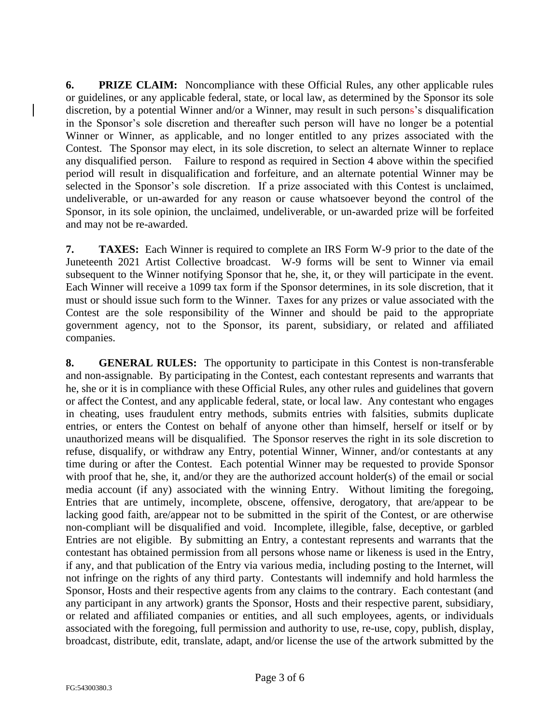**6. PRIZE CLAIM:** Noncompliance with these Official Rules, any other applicable rules or guidelines, or any applicable federal, state, or local law, as determined by the Sponsor its sole discretion, by a potential Winner and/or a Winner, may result in such persons's disqualification in the Sponsor's sole discretion and thereafter such person will have no longer be a potential Winner or Winner, as applicable, and no longer entitled to any prizes associated with the Contest. The Sponsor may elect, in its sole discretion, to select an alternate Winner to replace any disqualified person. Failure to respond as required in Section 4 above within the specified period will result in disqualification and forfeiture, and an alternate potential Winner may be selected in the Sponsor's sole discretion. If a prize associated with this Contest is unclaimed, undeliverable, or un-awarded for any reason or cause whatsoever beyond the control of the Sponsor, in its sole opinion, the unclaimed, undeliverable, or un-awarded prize will be forfeited and may not be re-awarded.

**7. TAXES:** Each Winner is required to complete an IRS Form W-9 prior to the date of the Juneteenth 2021 Artist Collective broadcast. W-9 forms will be sent to Winner via email subsequent to the Winner notifying Sponsor that he, she, it, or they will participate in the event. Each Winner will receive a 1099 tax form if the Sponsor determines, in its sole discretion, that it must or should issue such form to the Winner. Taxes for any prizes or value associated with the Contest are the sole responsibility of the Winner and should be paid to the appropriate government agency, not to the Sponsor, its parent, subsidiary, or related and affiliated companies.

**8. GENERAL RULES:** The opportunity to participate in this Contest is non-transferable and non-assignable. By participating in the Contest, each contestant represents and warrants that he, she or it is in compliance with these Official Rules, any other rules and guidelines that govern or affect the Contest, and any applicable federal, state, or local law. Any contestant who engages in cheating, uses fraudulent entry methods, submits entries with falsities, submits duplicate entries, or enters the Contest on behalf of anyone other than himself, herself or itself or by unauthorized means will be disqualified. The Sponsor reserves the right in its sole discretion to refuse, disqualify, or withdraw any Entry, potential Winner, Winner, and/or contestants at any time during or after the Contest. Each potential Winner may be requested to provide Sponsor with proof that he, she, it, and/or they are the authorized account holder(s) of the email or social media account (if any) associated with the winning Entry. Without limiting the foregoing, Entries that are untimely, incomplete, obscene, offensive, derogatory, that are/appear to be lacking good faith, are/appear not to be submitted in the spirit of the Contest, or are otherwise non-compliant will be disqualified and void. Incomplete, illegible, false, deceptive, or garbled Entries are not eligible. By submitting an Entry, a contestant represents and warrants that the contestant has obtained permission from all persons whose name or likeness is used in the Entry, if any, and that publication of the Entry via various media, including posting to the Internet, will not infringe on the rights of any third party. Contestants will indemnify and hold harmless the Sponsor, Hosts and their respective agents from any claims to the contrary. Each contestant (and any participant in any artwork) grants the Sponsor, Hosts and their respective parent, subsidiary, or related and affiliated companies or entities, and all such employees, agents, or individuals associated with the foregoing, full permission and authority to use, re-use, copy, publish, display, broadcast, distribute, edit, translate, adapt, and/or license the use of the artwork submitted by the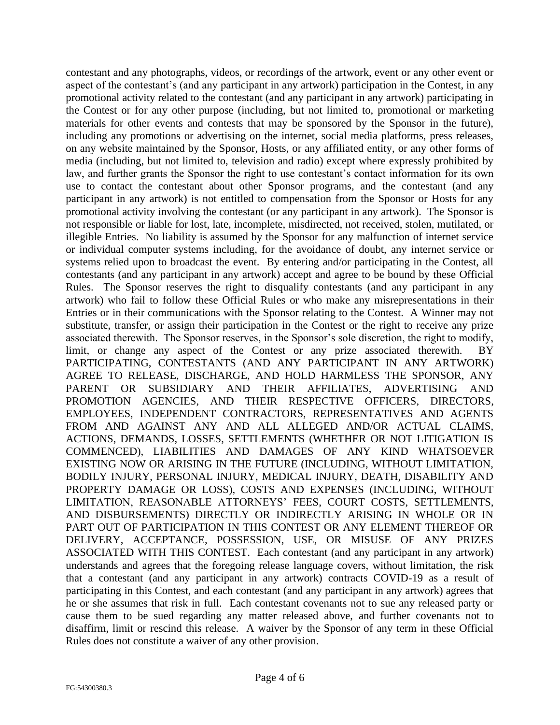contestant and any photographs, videos, or recordings of the artwork, event or any other event or aspect of the contestant's (and any participant in any artwork) participation in the Contest, in any promotional activity related to the contestant (and any participant in any artwork) participating in the Contest or for any other purpose (including, but not limited to, promotional or marketing materials for other events and contests that may be sponsored by the Sponsor in the future), including any promotions or advertising on the internet, social media platforms, press releases, on any website maintained by the Sponsor, Hosts, or any affiliated entity, or any other forms of media (including, but not limited to, television and radio) except where expressly prohibited by law, and further grants the Sponsor the right to use contestant's contact information for its own use to contact the contestant about other Sponsor programs, and the contestant (and any participant in any artwork) is not entitled to compensation from the Sponsor or Hosts for any promotional activity involving the contestant (or any participant in any artwork). The Sponsor is not responsible or liable for lost, late, incomplete, misdirected, not received, stolen, mutilated, or illegible Entries. No liability is assumed by the Sponsor for any malfunction of internet service or individual computer systems including, for the avoidance of doubt, any internet service or systems relied upon to broadcast the event. By entering and/or participating in the Contest, all contestants (and any participant in any artwork) accept and agree to be bound by these Official Rules. The Sponsor reserves the right to disqualify contestants (and any participant in any artwork) who fail to follow these Official Rules or who make any misrepresentations in their Entries or in their communications with the Sponsor relating to the Contest. A Winner may not substitute, transfer, or assign their participation in the Contest or the right to receive any prize associated therewith. The Sponsor reserves, in the Sponsor's sole discretion, the right to modify, limit, or change any aspect of the Contest or any prize associated therewith. PARTICIPATING, CONTESTANTS (AND ANY PARTICIPANT IN ANY ARTWORK) AGREE TO RELEASE, DISCHARGE, AND HOLD HARMLESS THE SPONSOR, ANY PARENT OR SUBSIDIARY AND THEIR AFFILIATES, ADVERTISING AND PROMOTION AGENCIES, AND THEIR RESPECTIVE OFFICERS, DIRECTORS, EMPLOYEES, INDEPENDENT CONTRACTORS, REPRESENTATIVES AND AGENTS FROM AND AGAINST ANY AND ALL ALLEGED AND/OR ACTUAL CLAIMS, ACTIONS, DEMANDS, LOSSES, SETTLEMENTS (WHETHER OR NOT LITIGATION IS COMMENCED), LIABILITIES AND DAMAGES OF ANY KIND WHATSOEVER EXISTING NOW OR ARISING IN THE FUTURE (INCLUDING, WITHOUT LIMITATION, BODILY INJURY, PERSONAL INJURY, MEDICAL INJURY, DEATH, DISABILITY AND PROPERTY DAMAGE OR LOSS), COSTS AND EXPENSES (INCLUDING, WITHOUT LIMITATION, REASONABLE ATTORNEYS' FEES, COURT COSTS, SETTLEMENTS, AND DISBURSEMENTS) DIRECTLY OR INDIRECTLY ARISING IN WHOLE OR IN PART OUT OF PARTICIPATION IN THIS CONTEST OR ANY ELEMENT THEREOF OR DELIVERY, ACCEPTANCE, POSSESSION, USE, OR MISUSE OF ANY PRIZES ASSOCIATED WITH THIS CONTEST. Each contestant (and any participant in any artwork) understands and agrees that the foregoing release language covers, without limitation, the risk that a contestant (and any participant in any artwork) contracts COVID-19 as a result of participating in this Contest, and each contestant (and any participant in any artwork) agrees that he or she assumes that risk in full. Each contestant covenants not to sue any released party or cause them to be sued regarding any matter released above, and further covenants not to disaffirm, limit or rescind this release. A waiver by the Sponsor of any term in these Official Rules does not constitute a waiver of any other provision.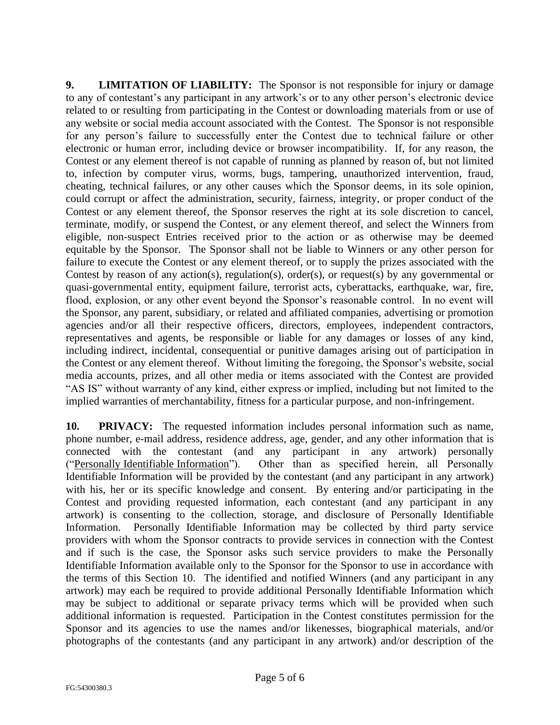**9. LIMITATION OF LIABILITY:** The Sponsor is not responsible for injury or damage to any of contestant's any participant in any artwork's or to any other person's electronic device related to or resulting from participating in the Contest or downloading materials from or use of any website or social media account associated with the Contest. The Sponsor is not responsible for any person's failure to successfully enter the Contest due to technical failure or other electronic or human error, including device or browser incompatibility. If, for any reason, the Contest or any element thereof is not capable of running as planned by reason of, but not limited to, infection by computer virus, worms, bugs, tampering, unauthorized intervention, fraud, cheating, technical failures, or any other causes which the Sponsor deems, in its sole opinion, could corrupt or affect the administration, security, fairness, integrity, or proper conduct of the Contest or any element thereof, the Sponsor reserves the right at its sole discretion to cancel, terminate, modify, or suspend the Contest, or any element thereof, and select the Winners from eligible, non-suspect Entries received prior to the action or as otherwise may be deemed equitable by the Sponsor. The Sponsor shall not be liable to Winners or any other person for failure to execute the Contest or any element thereof, or to supply the prizes associated with the Contest by reason of any action(s), regulation(s), order(s), or request(s) by any governmental or quasi-governmental entity, equipment failure, terrorist acts, cyberattacks, earthquake, war, fire, flood, explosion, or any other event beyond the Sponsor's reasonable control. In no event will the Sponsor, any parent, subsidiary, or related and affiliated companies, advertising or promotion agencies and/or all their respective officers, directors, employees, independent contractors, representatives and agents, be responsible or liable for any damages or losses of any kind, including indirect, incidental, consequential or punitive damages arising out of participation in the Contest or any element thereof. Without limiting the foregoing, the Sponsor's website, social media accounts, prizes, and all other media or items associated with the Contest are provided "AS IS" without warranty of any kind, either express or implied, including but not limited to the implied warranties of merchantability, fitness for a particular purpose, and non-infringement.

**10. PRIVACY:** The requested information includes personal information such as name, phone number, e-mail address, residence address, age, gender, and any other information that is connected with the contestant (and any participant in any artwork) personally ("Personally Identifiable Information"). Other than as specified herein, all Personally Identifiable Information will be provided by the contestant (and any participant in any artwork) with his, her or its specific knowledge and consent. By entering and/or participating in the Contest and providing requested information, each contestant (and any participant in any artwork) is consenting to the collection, storage, and disclosure of Personally Identifiable Information. Personally Identifiable Information may be collected by third party service providers with whom the Sponsor contracts to provide services in connection with the Contest and if such is the case, the Sponsor asks such service providers to make the Personally Identifiable Information available only to the Sponsor for the Sponsor to use in accordance with the terms of this Section 10. The identified and notified Winners (and any participant in any artwork) may each be required to provide additional Personally Identifiable Information which may be subject to additional or separate privacy terms which will be provided when such additional information is requested. Participation in the Contest constitutes permission for the Sponsor and its agencies to use the names and/or likenesses, biographical materials, and/or photographs of the contestants (and any participant in any artwork) and/or description of the